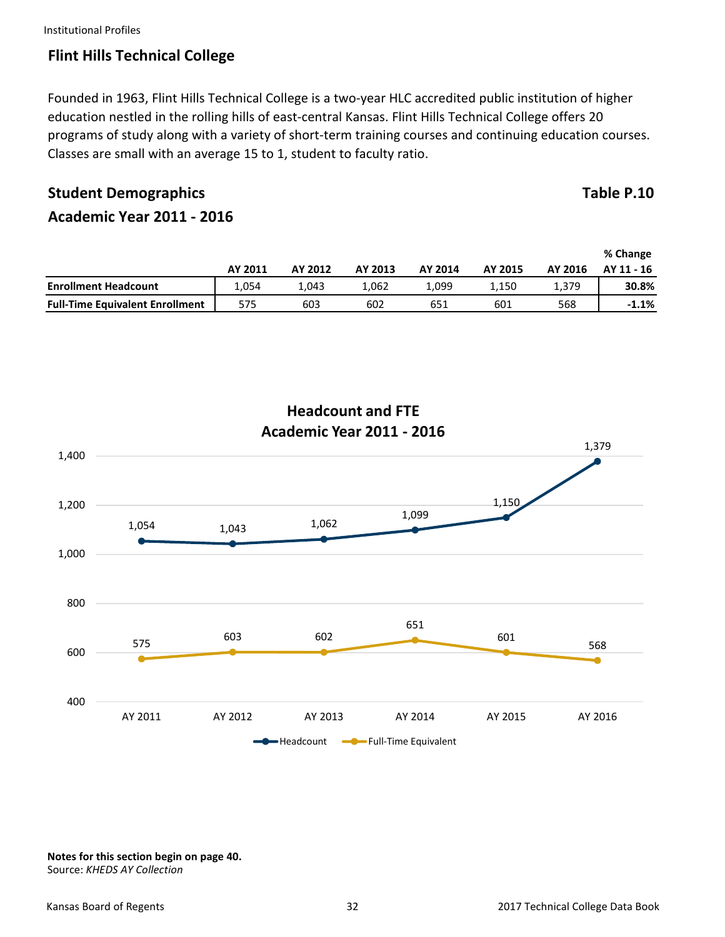# **Flint Hills Technical College**

Founded in 1963, Flint Hills Technical College is a two-year HLC accredited public institution of higher education nestled in the rolling hills of east-central Kansas. Flint Hills Technical College offers 20 programs of study along with a variety of short‐term training courses and continuing education courses. Classes are small with an average 15 to 1, student to faculty ratio.

# **Student Demographics** Table P.10

# **Academic Year 2011 ‐ 2016**

|                                        |         |         |         |         |         |         | % Change   |
|----------------------------------------|---------|---------|---------|---------|---------|---------|------------|
|                                        | AY 2011 | AY 2012 | AY 2013 | AY 2014 | AY 2015 | AY 2016 | AY 11 - 16 |
| <b>Enrollment Headcount</b>            | 1.054   | 1.043   | 1.062   | 1.099   | 1.150   | 1,379   | 30.8%      |
| <b>Full-Time Equivalent Enrollment</b> | 575     | 603     | 602     | 651     | 601     | 568     | $-1.1\%$   |



**Headcount and FTE**

**Notes for this section begin on page 40.** Source: *KHEDS AY Collection*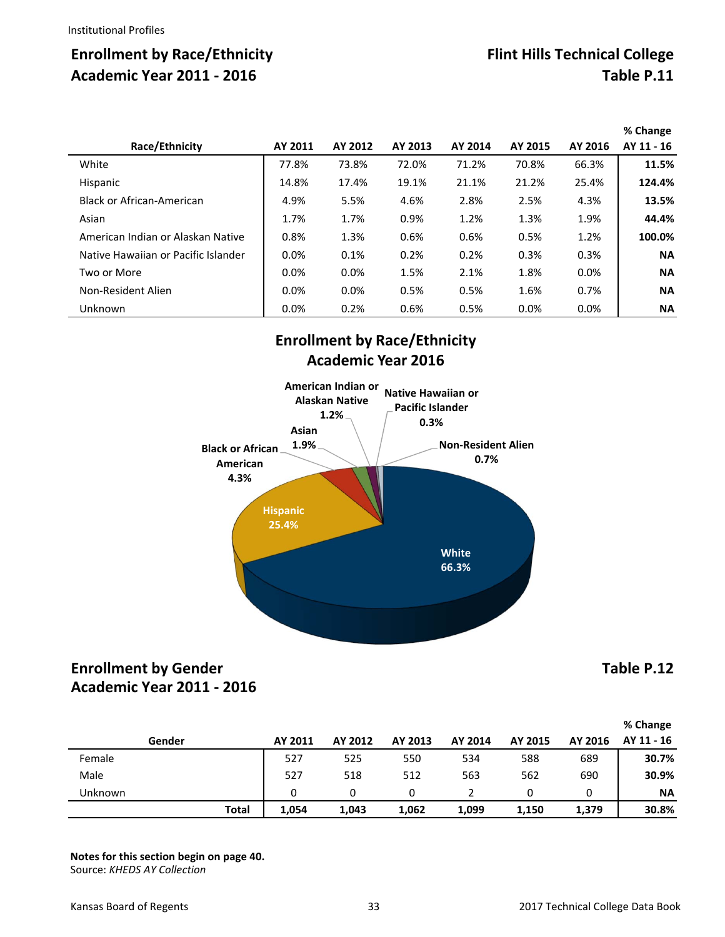# Enrollment by Race/Ethnicity **Flint Hills Technical College Academic Year 2011 - 2016** Table P.11

|                                     |         |         |         |         |         |         | % Change   |
|-------------------------------------|---------|---------|---------|---------|---------|---------|------------|
| Race/Ethnicity                      | AY 2011 | AY 2012 | AY 2013 | AY 2014 | AY 2015 | AY 2016 | AY 11 - 16 |
| White                               | 77.8%   | 73.8%   | 72.0%   | 71.2%   | 70.8%   | 66.3%   | 11.5%      |
| Hispanic                            | 14.8%   | 17.4%   | 19.1%   | 21.1%   | 21.2%   | 25.4%   | 124.4%     |
| <b>Black or African-American</b>    | 4.9%    | 5.5%    | 4.6%    | 2.8%    | 2.5%    | 4.3%    | 13.5%      |
| Asian                               | 1.7%    | 1.7%    | 0.9%    | 1.2%    | 1.3%    | 1.9%    | 44.4%      |
| American Indian or Alaskan Native   | 0.8%    | 1.3%    | 0.6%    | 0.6%    | 0.5%    | 1.2%    | 100.0%     |
| Native Hawaiian or Pacific Islander | 0.0%    | 0.1%    | 0.2%    | 0.2%    | 0.3%    | 0.3%    | <b>NA</b>  |
| Two or More                         | 0.0%    | 0.0%    | 1.5%    | 2.1%    | 1.8%    | 0.0%    | <b>NA</b>  |
| Non-Resident Alien                  | 0.0%    | 0.0%    | 0.5%    | 0.5%    | 1.6%    | 0.7%    | <b>NA</b>  |
| Unknown                             | 0.0%    | 0.2%    | 0.6%    | 0.5%    | 0.0%    | 0.0%    | <b>NA</b>  |

# **Enrollment by Race/Ethnicity Academic Year 2016**



# **Enrollment by Gender Table P.12 Academic Year 2011 ‐ 2016**

|         |          |         |         |         |         |         | % Change   |
|---------|----------|---------|---------|---------|---------|---------|------------|
| Gender  | AY 2011  | AY 2012 | AY 2013 | AY 2014 | AY 2015 | AY 2016 | AY 11 - 16 |
| Female  | 527      | 525     | 550     | 534     | 588     | 689     | 30.7%      |
| Male    | 527      | 518     | 512     | 563     | 562     | 690     | 30.9%      |
| Unknown | $\Omega$ |         |         |         |         |         | <b>NA</b>  |
| Total   | 1,054    | 1,043   | 1,062   | 1,099   | 1,150   | 1,379   | 30.8%      |

**Notes for this section begin on page 40.** Source: *KHEDS AY Collection*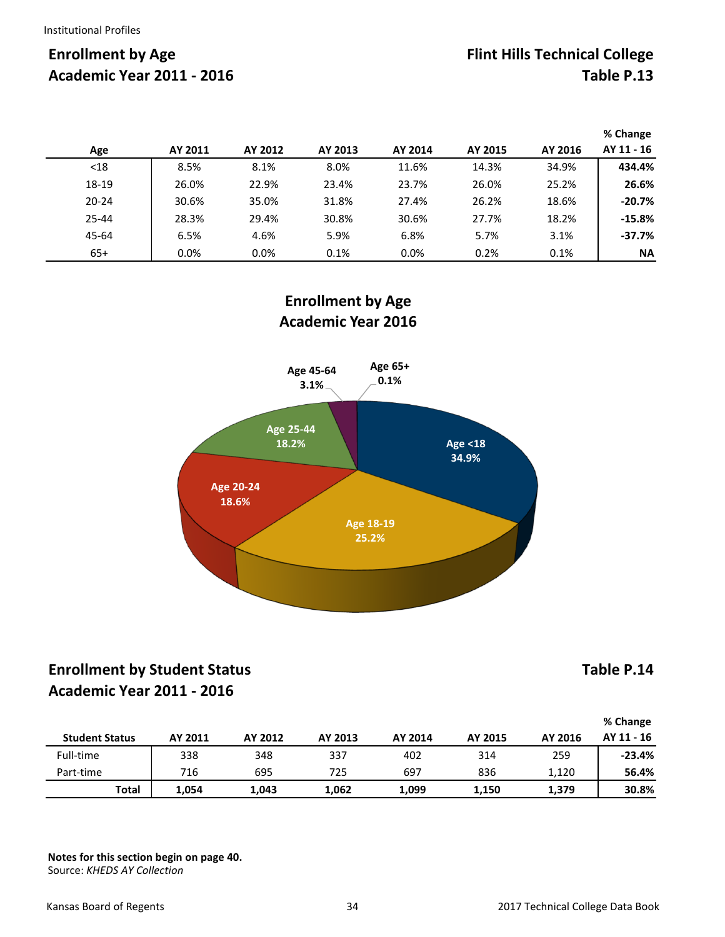# **Enrollment by Age <b>Flint Hills Technical College**

|           |         |         |         |         |         |         | % Change   |
|-----------|---------|---------|---------|---------|---------|---------|------------|
| Age       | AY 2011 | AY 2012 | AY 2013 | AY 2014 | AY 2015 | AY 2016 | AY 11 - 16 |
| $18$      | 8.5%    | 8.1%    | 8.0%    | 11.6%   | 14.3%   | 34.9%   | 434.4%     |
| 18-19     | 26.0%   | 22.9%   | 23.4%   | 23.7%   | 26.0%   | 25.2%   | 26.6%      |
| $20 - 24$ | 30.6%   | 35.0%   | 31.8%   | 27.4%   | 26.2%   | 18.6%   | $-20.7%$   |
| 25-44     | 28.3%   | 29.4%   | 30.8%   | 30.6%   | 27.7%   | 18.2%   | $-15.8%$   |
| 45-64     | 6.5%    | 4.6%    | 5.9%    | 6.8%    | 5.7%    | 3.1%    | $-37.7%$   |
| $65+$     | 0.0%    | 0.0%    | 0.1%    | 0.0%    | 0.2%    | 0.1%    | ΝA         |

# **Enrollment by Age Academic Year 2016**



# **Enrollment by Student Status Table P.14 Academic Year 2011 ‐ 2016**

|                       |         |         |         |         |         |         | % Change   |
|-----------------------|---------|---------|---------|---------|---------|---------|------------|
| <b>Student Status</b> | AY 2011 | AY 2012 | AY 2013 | AY 2014 | AY 2015 | AY 2016 | AY 11 - 16 |
| Full-time             | 338     | 348     | 337     | 402     | 314     | 259     | $-23.4%$   |
| Part-time             | 716     | 695     | 725     | 697     | 836     | 1,120   | 56.4%      |
| <b>Total</b>          | 1,054   | 1,043   | 1,062   | 1,099   | 1,150   | 1,379   | 30.8%      |

**Notes for this section begin on page 40.** Source: *KHEDS AY Collection*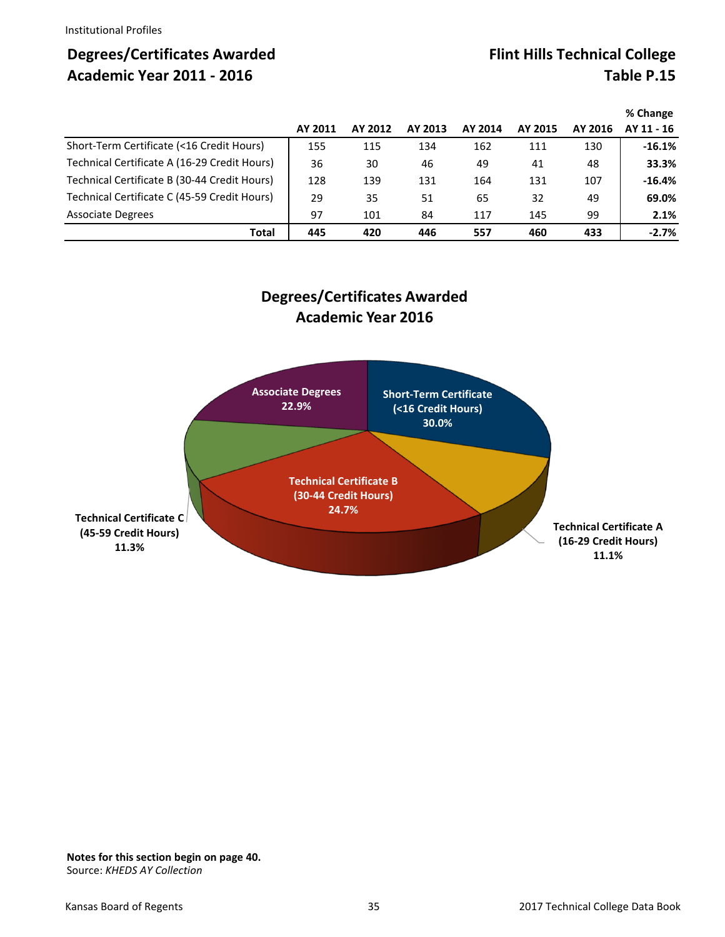# **Degrees/Certificates Awarded College Research College Research Plint Hills Technical College Academic Year 2011 - 2016** Table P.15

|                                              | AY 2011 | AY 2012 | AY 2013 | AY 2014 | AY 2015 | AY 2016 | % Change<br>AY 11 - 16 |
|----------------------------------------------|---------|---------|---------|---------|---------|---------|------------------------|
| Short-Term Certificate (<16 Credit Hours)    | 155     | 115     | 134     | 162     | 111     | 130     | $-16.1%$               |
| Technical Certificate A (16-29 Credit Hours) | 36      | 30      | 46      | 49      | 41      | 48      | 33.3%                  |
| Technical Certificate B (30-44 Credit Hours) | 128     | 139     | 131     | 164     | 131     | 107     | $-16.4%$               |
| Technical Certificate C (45-59 Credit Hours) | 29      | 35      | 51      | 65      | 32      | 49      | 69.0%                  |
| Associate Degrees                            | 97      | 101     | 84      | 117     | 145     | 99      | 2.1%                   |
| <b>Total</b>                                 | 445     | 420     | 446     | 557     | 460     | 433     | $-2.7%$                |

# **Degrees/Certificates Awarded Academic Year 2016**

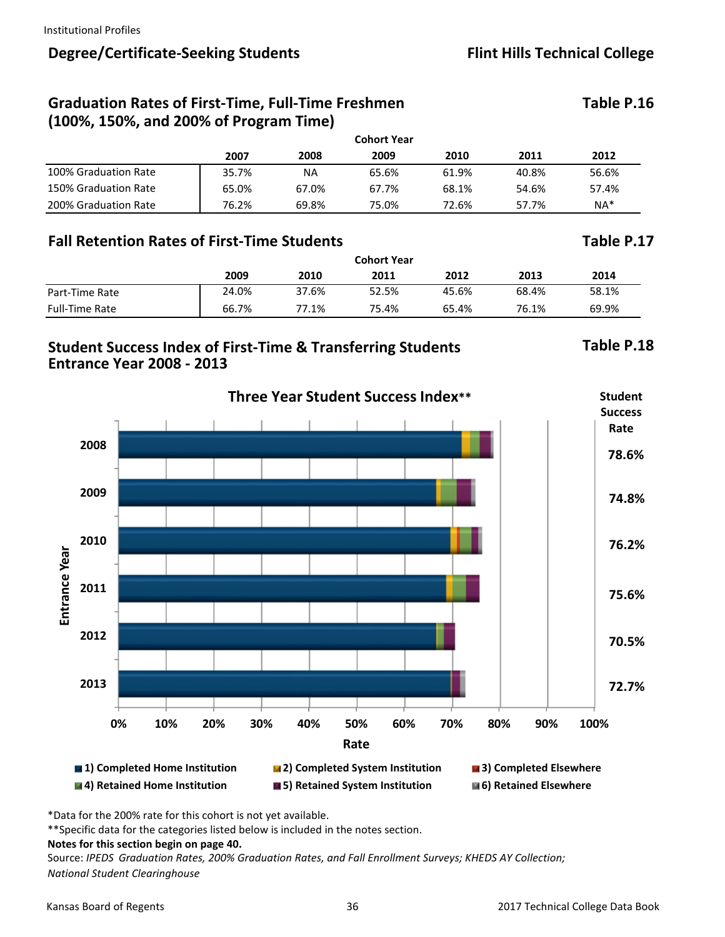### **Degree/Certificate‐Seeking Students**

# **Flint Hills Technical College**

# **Graduation Rates of First‐Time, Full‐Time Freshmen (100%, 150%, and 200% of Program Time)**

|                      |       | <b>Cohort Year</b> |       |       |       |       |  |  |  |
|----------------------|-------|--------------------|-------|-------|-------|-------|--|--|--|
|                      | 2007  | 2008               | 2009  | 2010  | 2011  | 2012  |  |  |  |
| 100% Graduation Rate | 35.7% | NA                 | 65.6% | 61.9% | 40.8% | 56.6% |  |  |  |
| 150% Graduation Rate | 65.0% | 67.0%              | 67.7% | 68.1% | 54.6% | 57.4% |  |  |  |
| 200% Graduation Rate | 76.2% | 69.8%              | 75.0% | 72.6% | 57.7% | $NA*$ |  |  |  |

### **Fall Retention Rates of First-Time Students Table P.17**

|                       | <b>Cohort Year</b> |       |       |       |       |       |  |  |  |
|-----------------------|--------------------|-------|-------|-------|-------|-------|--|--|--|
|                       | 2009               | 2010  | 2011  | 2012  | 2013  | 2014  |  |  |  |
| Part-Time Rate        | 24.0%              | 37.6% | 52.5% | 45.6% | 68.4% | 58.1% |  |  |  |
| <b>Full-Time Rate</b> | 66.7%              | 77.1% | 75.4% | 65.4% | 76.1% | 69.9% |  |  |  |

# **Student Success Index of First‐Time & Transferring Students Table P.18 Entrance Year 2008 ‐ 2013**

**Table P.16**



\*Data for the 200% rate for this cohort is not yet available.

\*\*Specific data for the categories listed below is included in the notes section.

### **Notes for this section begin on page 40.**

Source: *IPEDS Graduation Rates, 200% Graduation Rates, and Fall Enrollment Surveys; KHEDS AY Collection; National Student Clearinghouse*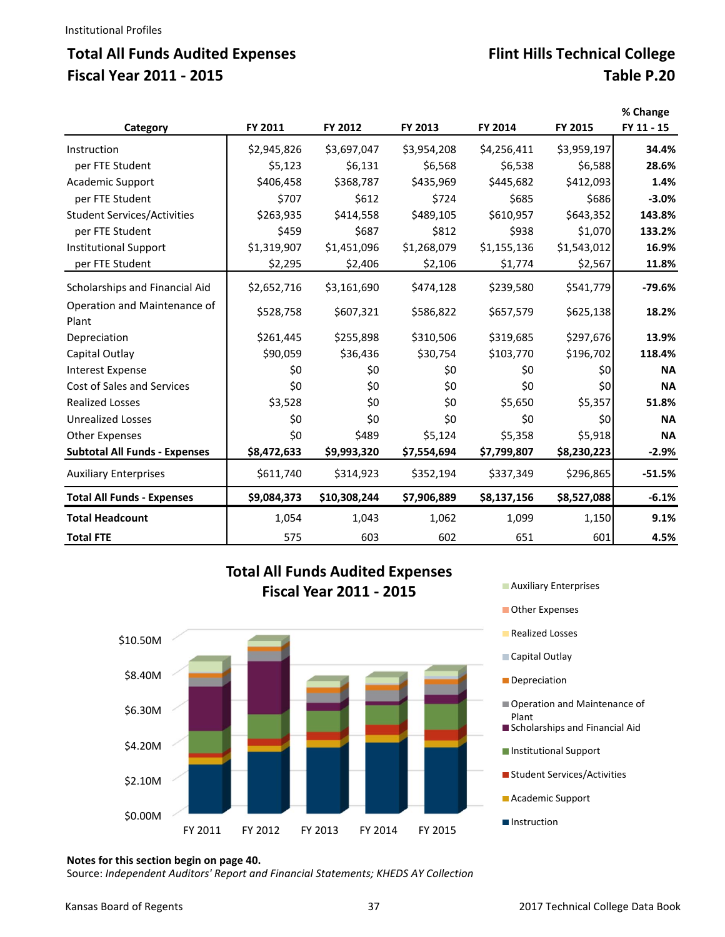# Total All Funds Audited Expenses **Flint Hills Technical College Fiscal Year 2011 ‐ 2015 Table P.20**

|                                       |             |              |             |             |             | % Change   |
|---------------------------------------|-------------|--------------|-------------|-------------|-------------|------------|
| Category                              | FY 2011     | FY 2012      | FY 2013     | FY 2014     | FY 2015     | FY 11 - 15 |
| Instruction                           | \$2,945,826 | \$3,697,047  | \$3,954,208 | \$4,256,411 | \$3,959,197 | 34.4%      |
| per FTE Student                       | \$5,123     | \$6,131      | \$6,568     | \$6,538     | \$6,588     | 28.6%      |
| Academic Support                      | \$406,458   | \$368,787    | \$435,969   | \$445,682   | \$412,093   | 1.4%       |
| per FTE Student                       | \$707       | \$612        | \$724       | \$685       | \$686       | $-3.0%$    |
| <b>Student Services/Activities</b>    | \$263,935   | \$414,558    | \$489,105   | \$610,957   | \$643,352   | 143.8%     |
| per FTE Student                       | \$459       | \$687        | \$812       | \$938       | \$1,070     | 133.2%     |
| <b>Institutional Support</b>          | \$1,319,907 | \$1,451,096  | \$1,268,079 | \$1,155,136 | \$1,543,012 | 16.9%      |
| per FTE Student                       | \$2,295     | \$2,406      | \$2,106     | \$1,774     | \$2,567     | 11.8%      |
| Scholarships and Financial Aid        | \$2,652,716 | \$3,161,690  | \$474,128   | \$239,580   | \$541,779   | $-79.6%$   |
| Operation and Maintenance of<br>Plant | \$528,758   | \$607,321    | \$586,822   | \$657,579   | \$625,138   | 18.2%      |
| Depreciation                          | \$261,445   | \$255,898    | \$310,506   | \$319,685   | \$297,676   | 13.9%      |
| Capital Outlay                        | \$90,059    | \$36,436     | \$30,754    | \$103,770   | \$196,702   | 118.4%     |
| <b>Interest Expense</b>               | \$0         | \$0          | \$0         | \$0         | \$0         | <b>NA</b>  |
| Cost of Sales and Services            | \$0         | \$0          | \$0         | \$0         | \$0         | <b>NA</b>  |
| <b>Realized Losses</b>                | \$3,528     | \$0          | \$0         | \$5,650     | \$5,357     | 51.8%      |
| <b>Unrealized Losses</b>              | \$0         | \$0          | \$0         | \$0         | \$0         | <b>NA</b>  |
| <b>Other Expenses</b>                 | \$0         | \$489        | \$5,124     | \$5,358     | \$5,918     | <b>NA</b>  |
| <b>Subtotal All Funds - Expenses</b>  | \$8,472,633 | \$9,993,320  | \$7,554,694 | \$7,799,807 | \$8,230,223 | $-2.9%$    |
| <b>Auxiliary Enterprises</b>          | \$611,740   | \$314,923    | \$352,194   | \$337,349   | \$296,865   | $-51.5%$   |
| <b>Total All Funds - Expenses</b>     | \$9,084,373 | \$10,308,244 | \$7,906,889 | \$8,137,156 | \$8,527,088 | $-6.1%$    |
| <b>Total Headcount</b>                | 1,054       | 1,043        | 1,062       | 1,099       | 1,150       | 9.1%       |
| <b>Total FTE</b>                      | 575         | 603          | 602         | 651         | 601         | 4.5%       |





- 
- **Other Expenses** Realized Losses
- Capital Outlay
- Depreciation
- Operation and Maintenance of Plant
- Scholarships and Financial Aid
- **Institutional Support**
- Student Services/Activities
- **Academic Support**
- **Instruction**

### **Notes for this section begin on page 40.**

Source: *Independent Auditors' Report and Financial Statements; KHEDS AY Collection*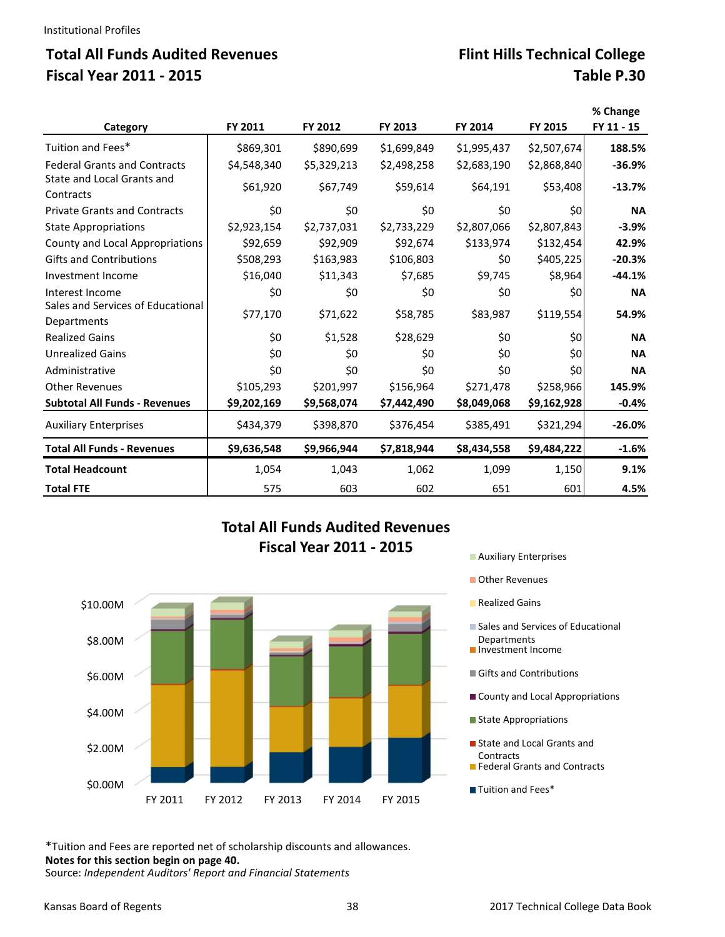# **Total All Funds Audited Revenues <b>Flint Hills Technical College Fiscal Year 2011 ‐ 2015 Table P.30**

|                                                  |             |             |             |             |             | % Change   |
|--------------------------------------------------|-------------|-------------|-------------|-------------|-------------|------------|
| Category                                         | FY 2011     | FY 2012     | FY 2013     | FY 2014     | FY 2015     | FY 11 - 15 |
| Tuition and Fees*                                | \$869,301   | \$890,699   | \$1,699,849 | \$1,995,437 | \$2,507,674 | 188.5%     |
| <b>Federal Grants and Contracts</b>              | \$4,548,340 | \$5,329,213 | \$2,498,258 | \$2,683,190 | \$2,868,840 | $-36.9%$   |
| State and Local Grants and<br>Contracts          | \$61,920    | \$67,749    | \$59,614    | \$64,191    | \$53,408    | $-13.7%$   |
| <b>Private Grants and Contracts</b>              | \$0         | \$0         | \$0         | \$0         | \$0         | <b>NA</b>  |
| <b>State Appropriations</b>                      | \$2,923,154 | \$2,737,031 | \$2,733,229 | \$2,807,066 | \$2,807,843 | $-3.9%$    |
| County and Local Appropriations                  | \$92,659    | \$92,909    | \$92,674    | \$133,974   | \$132,454   | 42.9%      |
| <b>Gifts and Contributions</b>                   | \$508,293   | \$163,983   | \$106,803   | \$0         | \$405,225   | $-20.3%$   |
| Investment Income                                | \$16,040    | \$11,343    | \$7,685     | \$9,745     | \$8,964     | $-44.1%$   |
| Interest Income                                  | \$0         | \$0         | \$0         | \$0         | \$0         | <b>NA</b>  |
| Sales and Services of Educational<br>Departments | \$77,170    | \$71,622    | \$58,785    | \$83,987    | \$119,554   | 54.9%      |
| <b>Realized Gains</b>                            | \$0         | \$1,528     | \$28,629    | \$0         | \$0         | <b>NA</b>  |
| <b>Unrealized Gains</b>                          | \$0         | \$0         | \$0         | \$0         | \$0         | <b>NA</b>  |
| Administrative                                   | \$0         | \$0         | \$0         | \$0         | \$0         | <b>NA</b>  |
| <b>Other Revenues</b>                            | \$105,293   | \$201,997   | \$156,964   | \$271,478   | \$258,966   | 145.9%     |
| <b>Subtotal All Funds - Revenues</b>             | \$9,202,169 | \$9,568,074 | \$7,442,490 | \$8,049,068 | \$9,162,928 | $-0.4%$    |
| <b>Auxiliary Enterprises</b>                     | \$434,379   | \$398,870   | \$376,454   | \$385,491   | \$321,294   | $-26.0%$   |
| <b>Total All Funds - Revenues</b>                | \$9,636,548 | \$9,966,944 | \$7,818,944 | \$8,434,558 | \$9,484,222 | $-1.6%$    |
| <b>Total Headcount</b>                           | 1,054       | 1,043       | 1,062       | 1,099       | 1,150       | 9.1%       |
| <b>Total FTE</b>                                 | 575         | 603         | 602         | 651         | 601         | 4.5%       |



- **Total All Funds Audited Revenues**
- 
- **Other Revenues**
- **Realized Gains**
- Sales and Services of Educational Departments
- **Investment Income**
- Gifts and Contributions
- County and Local Appropriations
- State Appropriations
- State and Local Grants and **Contracts**
- **Federal Grants and Contracts**
- **Tuition and Fees\***

\*Tuition and Fees are reported net of scholarship discounts and allowances. **Notes for this section begin on page 40.**  Source: *Independent Auditors' Report and Financial Statements*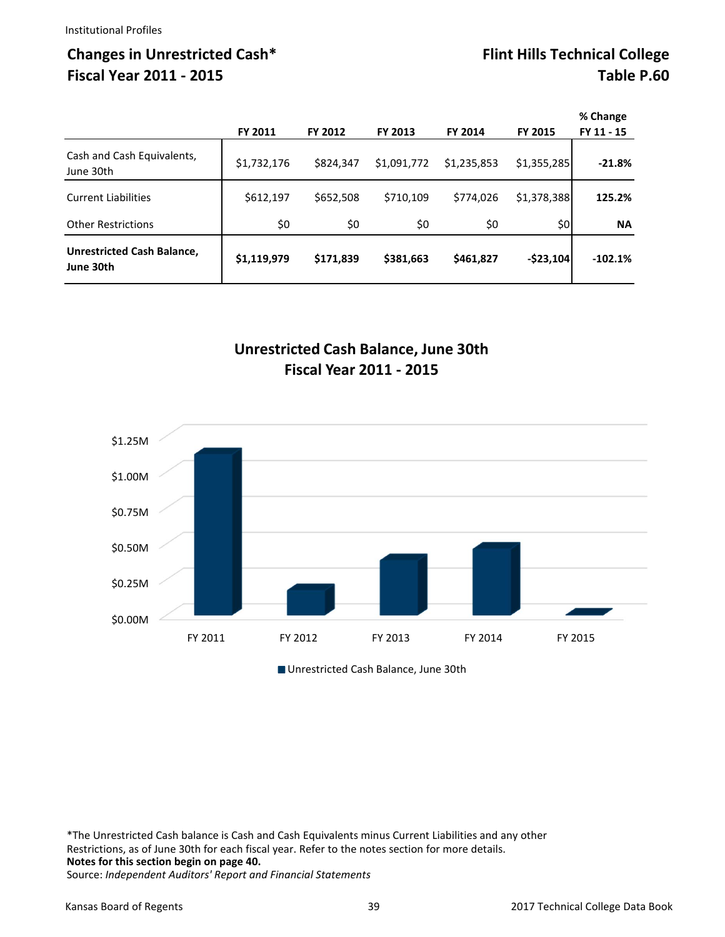# Changes in Unrestricted Cash<sup>\*</sup> Flint Hills Technical College **Fiscal Year 2011 ‐ 2015 Table P.60**

|                                                | FY 2011     | FY 2012   | FY 2013     | FY 2014     | <b>FY 2015</b> | % Change<br>FY 11 - 15 |
|------------------------------------------------|-------------|-----------|-------------|-------------|----------------|------------------------|
| Cash and Cash Equivalents,<br>June 30th        | \$1,732,176 | \$824,347 | \$1,091,772 | \$1,235,853 | \$1,355,285    | $-21.8%$               |
| <b>Current Liabilities</b>                     | \$612,197   | \$652,508 | \$710,109   | \$774,026   | \$1,378,388    | 125.2%                 |
| <b>Other Restrictions</b>                      | \$0         | \$0       | \$0         | \$0         | \$0            | <b>NA</b>              |
| <b>Unrestricted Cash Balance,</b><br>June 30th | \$1,119,979 | \$171,839 | \$381,663   | \$461,827   | $-$23,104$     | $-102.1%$              |





\*The Unrestricted Cash balance is Cash and Cash Equivalents minus Current Liabilities and any other Restrictions, as of June 30th for each fiscal year. Refer to the notes section for more details. **Notes for this section begin on page 40.**  Source: *Independent Auditors' Report and Financial Statements*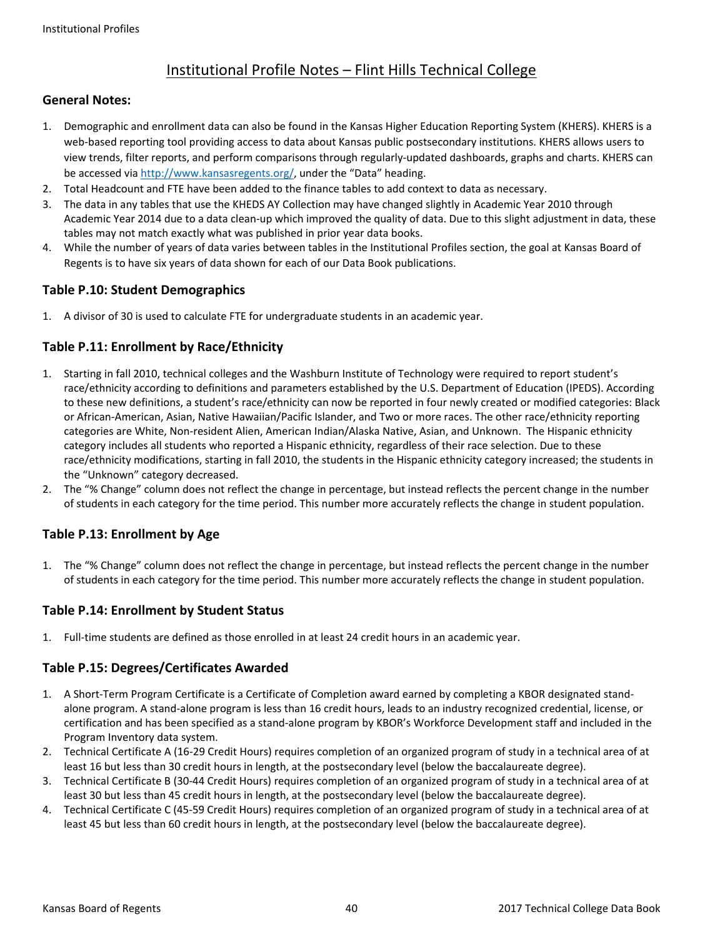## Institutional Profile Notes – Flint Hills Technical College

### **General Notes:**

- 1. Demographic and enrollment data can also be found in the Kansas Higher Education Reporting System (KHERS). KHERS is a web-based reporting tool providing access to data about Kansas public postsecondary institutions. KHERS allows users to view trends, filter reports, and perform comparisons through regularly‐updated dashboards, graphs and charts. KHERS can be accessed via http://www.kansasregents.org/, under the "Data" heading.
- 2. Total Headcount and FTE have been added to the finance tables to add context to data as necessary.
- 3. The data in any tables that use the KHEDS AY Collection may have changed slightly in Academic Year 2010 through Academic Year 2014 due to a data clean‐up which improved the quality of data. Due to this slight adjustment in data, these tables may not match exactly what was published in prior year data books.
- 4. While the number of years of data varies between tables in the Institutional Profiles section, the goal at Kansas Board of Regents is to have six years of data shown for each of our Data Book publications.

### **Table P.10: Student Demographics**

1. A divisor of 30 is used to calculate FTE for undergraduate students in an academic year.

### **Table P.11: Enrollment by Race/Ethnicity**

- 1. Starting in fall 2010, technical colleges and the Washburn Institute of Technology were required to report student's race/ethnicity according to definitions and parameters established by the U.S. Department of Education (IPEDS). According to these new definitions, a student's race/ethnicity can now be reported in four newly created or modified categories: Black or African‐American, Asian, Native Hawaiian/Pacific Islander, and Two or more races. The other race/ethnicity reporting categories are White, Non‐resident Alien, American Indian/Alaska Native, Asian, and Unknown. The Hispanic ethnicity category includes all students who reported a Hispanic ethnicity, regardless of their race selection. Due to these race/ethnicity modifications, starting in fall 2010, the students in the Hispanic ethnicity category increased; the students in the "Unknown" category decreased.
- 2. The "% Change" column does not reflect the change in percentage, but instead reflects the percent change in the number of students in each category for the time period. This number more accurately reflects the change in student population.

### **Table P.13: Enrollment by Age**

1. The "% Change" column does not reflect the change in percentage, but instead reflects the percent change in the number of students in each category for the time period. This number more accurately reflects the change in student population.

### **Table P.14: Enrollment by Student Status**

1. Full‐time students are defined as those enrolled in at least 24 credit hours in an academic year.

### **Table P.15: Degrees/Certificates Awarded**

- 1. A Short‐Term Program Certificate is a Certificate of Completion award earned by completing a KBOR designated stand‐ alone program. A stand‐alone program is less than 16 credit hours, leads to an industry recognized credential, license, or certification and has been specified as a stand‐alone program by KBOR's Workforce Development staff and included in the Program Inventory data system.
- 2. Technical Certificate A (16‐29 Credit Hours) requires completion of an organized program of study in a technical area of at least 16 but less than 30 credit hours in length, at the postsecondary level (below the baccalaureate degree).
- 3. Technical Certificate B (30‐44 Credit Hours) requires completion of an organized program of study in a technical area of at least 30 but less than 45 credit hours in length, at the postsecondary level (below the baccalaureate degree).
- 4. Technical Certificate C (45‐59 Credit Hours) requires completion of an organized program of study in a technical area of at least 45 but less than 60 credit hours in length, at the postsecondary level (below the baccalaureate degree).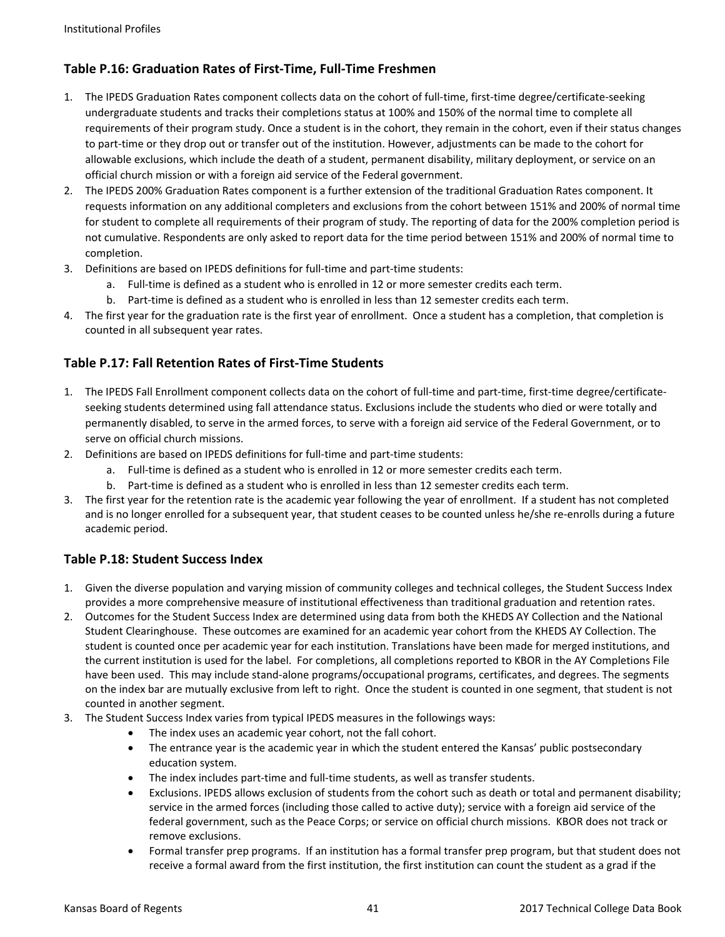### **Table P.16: Graduation Rates of First‐Time, Full‐Time Freshmen**

- 1. The IPEDS Graduation Rates component collects data on the cohort of full-time, first-time degree/certificate-seeking undergraduate students and tracks their completions status at 100% and 150% of the normal time to complete all requirements of their program study. Once a student is in the cohort, they remain in the cohort, even if their status changes to part-time or they drop out or transfer out of the institution. However, adjustments can be made to the cohort for allowable exclusions, which include the death of a student, permanent disability, military deployment, or service on an official church mission or with a foreign aid service of the Federal government.
- 2. The IPEDS 200% Graduation Rates component is a further extension of the traditional Graduation Rates component. It requests information on any additional completers and exclusions from the cohort between 151% and 200% of normal time for student to complete all requirements of their program of study. The reporting of data for the 200% completion period is not cumulative. Respondents are only asked to report data for the time period between 151% and 200% of normal time to completion.
- 3. Definitions are based on IPEDS definitions for full-time and part-time students:
	- a. Full‐time is defined as a student who is enrolled in 12 or more semester credits each term.
	- b. Part‐time is defined as a student who is enrolled in less than 12 semester credits each term.
- 4. The first year for the graduation rate is the first year of enrollment. Once a student has a completion, that completion is counted in all subsequent year rates.

### **Table P.17: Fall Retention Rates of First‐Time Students**

- 1. The IPEDS Fall Enrollment component collects data on the cohort of full-time and part-time, first-time degree/certificateseeking students determined using fall attendance status. Exclusions include the students who died or were totally and permanently disabled, to serve in the armed forces, to serve with a foreign aid service of the Federal Government, or to serve on official church missions.
- 2. Definitions are based on IPEDS definitions for full-time and part-time students:
	- a. Full-time is defined as a student who is enrolled in 12 or more semester credits each term.
	- b. Part‐time is defined as a student who is enrolled in less than 12 semester credits each term.
- 3. The first year for the retention rate is the academic year following the year of enrollment. If a student has not completed and is no longer enrolled for a subsequent year, that student ceases to be counted unless he/she re-enrolls during a future academic period.

### **Table P.18: Student Success Index**

- 1. Given the diverse population and varying mission of community colleges and technical colleges, the Student Success Index provides a more comprehensive measure of institutional effectiveness than traditional graduation and retention rates.
- 2. Outcomes for the Student Success Index are determined using data from both the KHEDS AY Collection and the National Student Clearinghouse. These outcomes are examined for an academic year cohort from the KHEDS AY Collection. The student is counted once per academic year for each institution. Translations have been made for merged institutions, and the current institution is used for the label. For completions, all completions reported to KBOR in the AY Completions File have been used. This may include stand-alone programs/occupational programs, certificates, and degrees. The segments on the index bar are mutually exclusive from left to right. Once the student is counted in one segment, that student is not counted in another segment.
- 3. The Student Success Index varies from typical IPEDS measures in the followings ways:
	- The index uses an academic year cohort, not the fall cohort.
	- The entrance year is the academic year in which the student entered the Kansas' public postsecondary education system.
	- The index includes part‐time and full‐time students, as well as transfer students.
	- Exclusions. IPEDS allows exclusion of students from the cohort such as death or total and permanent disability; service in the armed forces (including those called to active duty); service with a foreign aid service of the federal government, such as the Peace Corps; or service on official church missions. KBOR does not track or remove exclusions.
	- Formal transfer prep programs. If an institution has a formal transfer prep program, but that student does not receive a formal award from the first institution, the first institution can count the student as a grad if the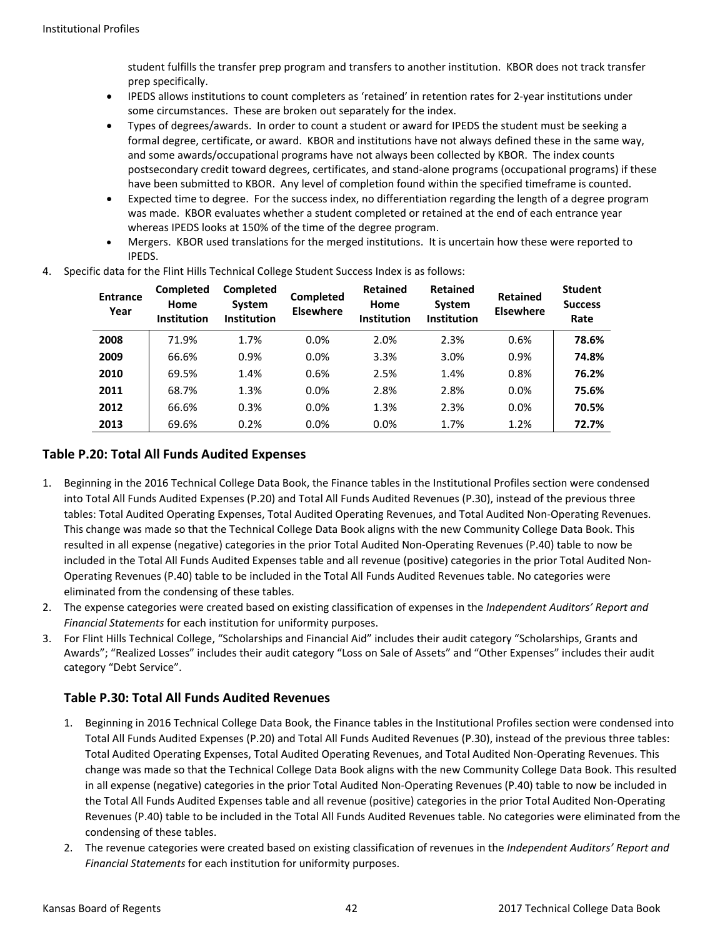student fulfills the transfer prep program and transfers to another institution. KBOR does not track transfer prep specifically.

- IPEDS allows institutions to count completers as 'retained' in retention rates for 2‐year institutions under some circumstances. These are broken out separately for the index.
- Types of degrees/awards. In order to count a student or award for IPEDS the student must be seeking a formal degree, certificate, or award. KBOR and institutions have not always defined these in the same way, and some awards/occupational programs have not always been collected by KBOR. The index counts postsecondary credit toward degrees, certificates, and stand‐alone programs (occupational programs) if these have been submitted to KBOR. Any level of completion found within the specified timeframe is counted.
- Expected time to degree. For the success index, no differentiation regarding the length of a degree program was made. KBOR evaluates whether a student completed or retained at the end of each entrance year whereas IPEDS looks at 150% of the time of the degree program.
- Mergers. KBOR used translations for the merged institutions. It is uncertain how these were reported to IPEDS.

| <b>Entrance</b><br>Year | Completed<br>Home<br><b>Institution</b> | <b>Completed</b><br><b>System</b><br><b>Institution</b> | Completed<br><b>Elsewhere</b> | <b>Retained</b><br>Home<br><b>Institution</b> | <b>Retained</b><br>System<br><b>Institution</b> | <b>Retained</b><br><b>Elsewhere</b> | <b>Student</b><br><b>Success</b><br>Rate |
|-------------------------|-----------------------------------------|---------------------------------------------------------|-------------------------------|-----------------------------------------------|-------------------------------------------------|-------------------------------------|------------------------------------------|
| 2008                    | 71.9%                                   | 1.7%                                                    | 0.0%                          | 2.0%                                          | 2.3%                                            | 0.6%                                | 78.6%                                    |
| 2009                    | 66.6%                                   | 0.9%                                                    | 0.0%                          | 3.3%                                          | 3.0%                                            | 0.9%                                | 74.8%                                    |
| 2010                    | 69.5%                                   | 1.4%                                                    | 0.6%                          | 2.5%                                          | 1.4%                                            | 0.8%                                | 76.2%                                    |
| 2011                    | 68.7%                                   | 1.3%                                                    | 0.0%                          | 2.8%                                          | 2.8%                                            | 0.0%                                | 75.6%                                    |
| 2012                    | 66.6%                                   | 0.3%                                                    | 0.0%                          | 1.3%                                          | 2.3%                                            | 0.0%                                | 70.5%                                    |
| 2013                    | 69.6%                                   | 0.2%                                                    | 0.0%                          | 0.0%                                          | 1.7%                                            | 1.2%                                | 72.7%                                    |

4. Specific data for the Flint Hills Technical College Student Success Index is as follows:

### **Table P.20: Total All Funds Audited Expenses**

- 1. Beginning in the 2016 Technical College Data Book, the Finance tables in the Institutional Profiles section were condensed into Total All Funds Audited Expenses (P.20) and Total All Funds Audited Revenues (P.30), instead of the previous three tables: Total Audited Operating Expenses, Total Audited Operating Revenues, and Total Audited Non‐Operating Revenues. This change was made so that the Technical College Data Book aligns with the new Community College Data Book. This resulted in all expense (negative) categories in the prior Total Audited Non‐Operating Revenues (P.40) table to now be included in the Total All Funds Audited Expenses table and all revenue (positive) categories in the prior Total Audited Non‐ Operating Revenues (P.40) table to be included in the Total All Funds Audited Revenues table. No categories were eliminated from the condensing of these tables.
- 2. The expense categories were created based on existing classification of expenses in the *Independent Auditors' Report and Financial Statements* for each institution for uniformity purposes.
- 3. For Flint Hills Technical College, "Scholarships and Financial Aid" includes their audit category "Scholarships, Grants and Awards"; "Realized Losses" includes their audit category "Loss on Sale of Assets" and "Other Expenses" includes their audit category "Debt Service".

### **Table P.30: Total All Funds Audited Revenues**

- 1. Beginning in 2016 Technical College Data Book, the Finance tables in the Institutional Profiles section were condensed into Total All Funds Audited Expenses (P.20) and Total All Funds Audited Revenues (P.30), instead of the previous three tables: Total Audited Operating Expenses, Total Audited Operating Revenues, and Total Audited Non‐Operating Revenues. This change was made so that the Technical College Data Book aligns with the new Community College Data Book. This resulted in all expense (negative) categories in the prior Total Audited Non-Operating Revenues (P.40) table to now be included in the Total All Funds Audited Expenses table and all revenue (positive) categories in the prior Total Audited Non‐Operating Revenues (P.40) table to be included in the Total All Funds Audited Revenues table. No categories were eliminated from the condensing of these tables.
- 2. The revenue categories were created based on existing classification of revenues in the *Independent Auditors' Report and Financial Statements* for each institution for uniformity purposes.